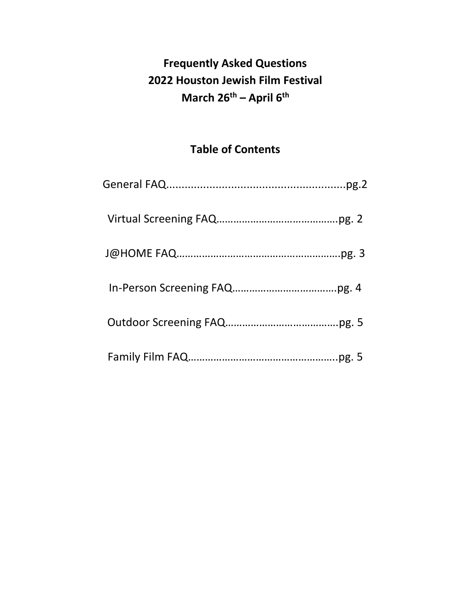# **Frequently Asked Questions 2022 Houston Jewish Film Festival March 26th – April 6th**

# **Table of Contents**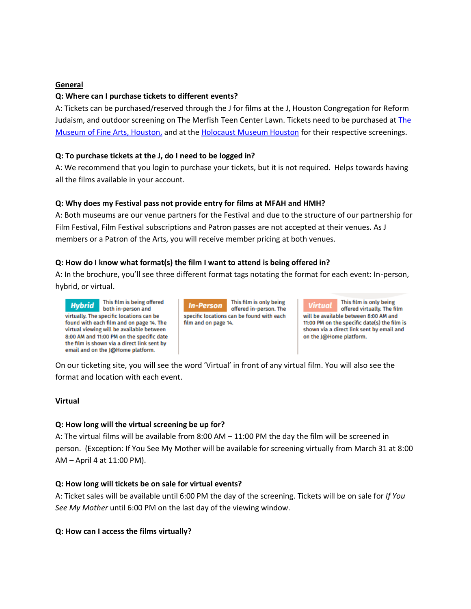# **General**

#### **Q: Where can I purchase tickets to different events?**

A: Tickets can be purchased/reserved through the J for films at the J, Houston Congregation for Reform Judaism, and outdoor screening on The Merfish Teen Center Lawn. Tickets need to be purchased at [The](https://www.mfah.org/films/)  Museum [of Fine Arts, Houston,](https://www.mfah.org/films/) and at the [Holocaust Museum Houston](https://hmh.org/events/) for their respective screenings.

# **Q: To purchase tickets at the J, do I need to be logged in?**

A: We recommend that you login to purchase your tickets, but it is not required. Helps towards having all the films available in your account.

# **Q: Why does my Festival pass not provide entry for films at MFAH and HMH?**

A: Both museums are our venue partners for the Festival and due to the structure of our partnership for Film Festival, Film Festival subscriptions and Patron passes are not accepted at their venues. As J members or a Patron of the Arts, you will receive member pricing at both venues.

# **Q: How do I know what format(s) the film I want to attend is being offered in?**

A: In the brochure, you'll see three different format tags notating the format for each event: In-person, hybrid, or virtual.

This film is being offered **Hybrid** both in-person and virtually. The specific locations can be found with each film and on page 14. The virtual viewing will be available between 8:00 AM and 11:00 PM on the specific date the film is shown via a direct link sent by email and on the J@Home platform.

This film is only being **In-Person** offered in-person. The specific locations can be found with each film and on page 14.

This film is only being **Virtual** offered virtually. The film will be available between 8:00 AM and 11:00 PM on the specific date(s) the film is shown via a direct link sent by email and on the J@Home platform.

On our ticketing site, you will see the word 'Virtual' in front of any virtual film. You will also see the format and location with each event.

#### **Virtual**

#### **Q: How long will the virtual screening be up for?**

A: The virtual films will be available from 8:00 AM – 11:00 PM the day the film will be screened in person. (Exception: If You See My Mother will be available for screening virtually from March 31 at 8:00 AM – April 4 at 11:00 PM).

#### **Q: How long will tickets be on sale for virtual events?**

A: Ticket sales will be available until 6:00 PM the day of the screening. Tickets will be on sale for *If You See My Mother* until 6:00 PM on the last day of the viewing window.

#### **Q: How can I access the films virtually?**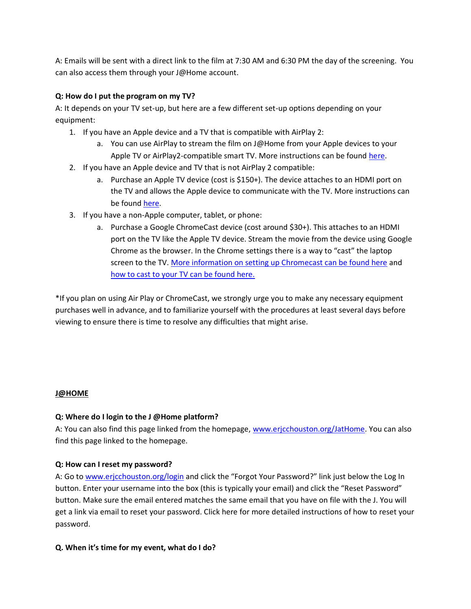A: Emails will be sent with a direct link to the film at 7:30 AM and 6:30 PM the day of the screening. You can also access them through your J@Home account.

# **Q: How do I put the program on my TV?**

A: It depends on your TV set-up, but here are a few different set-up options depending on your equipment:

- 1. If you have an Apple device and a TV that is compatible with AirPlay 2:
	- a. You can use AirPlay to stream the film on J@Home from your Apple devices to your Apple TV or AirPlay2-compatible smart TV. More instructions can be found [here.](https://support.apple.com/en-us/HT204289)
- 2. If you have an Apple device and TV that is not AirPlay 2 compatible:
	- a. Purchase an Apple TV device (cost is \$150+). The device attaches to an HDMI port on the TV and allows the Apple device to communicate with the TV. More instructions can be foun[d here.](https://support.apple.com/en-us/HT204289)
- 3. If you have a non-Apple computer, tablet, or phone:
	- a. Purchase a Google ChromeCast device (cost around \$30+). This attaches to an HDMI port on the TV like the Apple TV device. Stream the movie from the device using Google Chrome as the browser. In the Chrome settings there is a way to "cast" the laptop screen to the TV. [More information on setting up Chromecast can be found here](https://support.google.com/chromecast/answer/6006232?hl=en) and [how to cast to your TV can be found here.](https://support.google.com/chromecast/answer/3228332?hl=en&ref_topic=4602553)

\*If you plan on using Air Play or ChromeCast, we strongly urge you to make any necessary equipment purchases well in advance, and to familiarize yourself with the procedures at least several days before viewing to ensure there is time to resolve any difficulties that might arise.

#### **J@HOME**

# **Q: Where do I login to the J @Home platform?**

A: You can also find this page linked from the homepage, [www.erjcchouston.org/JatHome.](http://www.erjcchouston.org/JatHome) You can also find this page linked to the homepage.

#### **Q: How can I reset my password?**

A: Go to [www.erjcchouston.org/login](http://www.erjcchouston.org/login) and click the "Forgot Your Password?" link just below the Log In button. Enter your username into the box (this is typically your email) and click the "Reset Password" button. Make sure the email entered matches the same email that you have on file with the J. You will get a link via email to reset your password. Click here for more detailed instructions of how to reset your password.

#### **Q. When it's time for my event, what do I do?**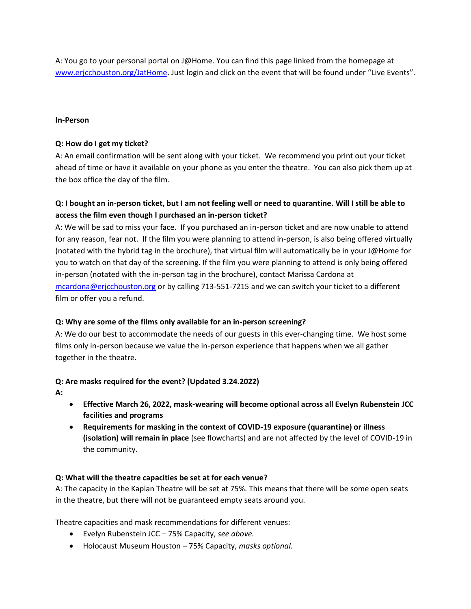A: You go to your personal portal on J@Home. You can find this page linked from the homepage at [www.erjcchouston.org/JatHome.](http://www.erjcchouston.org/JatHome) Just login and click on the event that will be found under "Live Events".

# **In-Person**

# **Q: How do I get my ticket?**

A: An email confirmation will be sent along with your ticket. We recommend you print out your ticket ahead of time or have it available on your phone as you enter the theatre. You can also pick them up at the box office the day of the film.

# **Q: I bought an in-person ticket, but I am not feeling well or need to quarantine. Will I still be able to access the film even though I purchased an in-person ticket?**

A: We will be sad to miss your face. If you purchased an in-person ticket and are now unable to attend for any reason, fear not. If the film you were planning to attend in-person, is also being offered virtually (notated with the hybrid tag in the brochure), that virtual film will automatically be in your J@Home for you to watch on that day of the screening. If the film you were planning to attend is only being offered in-person (notated with the in-person tag in the brochure), contact Marissa Cardona at [mcardona@erjcchouston.org](mailto:mcardona@erjcchouston.org) or by calling 713-551-7215 and we can switch your ticket to a different film or offer you a refund.

# **Q: Why are some of the films only available for an in-person screening?**

A: We do our best to accommodate the needs of our guests in this ever-changing time. We host some films only in-person because we value the in-person experience that happens when we all gather together in the theatre.

# **Q: Are masks required for the event? (Updated 3.24.2022)**

- **A:**
- **Effective March 26, 2022, mask-wearing will become optional across all Evelyn Rubenstein JCC facilities and programs**
- **Requirements for masking in the context of COVID-19 exposure (quarantine) or illness (isolation) will remain in place** (see flowcharts) and are not affected by the level of COVID-19 in the community.

# **Q: What will the theatre capacities be set at for each venue?**

A: The capacity in the Kaplan Theatre will be set at 75%. This means that there will be some open seats in the theatre, but there will not be guaranteed empty seats around you.

Theatre capacities and mask recommendations for different venues:

- Evelyn Rubenstein JCC 75% Capacity, *see above.*
- Holocaust Museum Houston 75% Capacity, *masks optional.*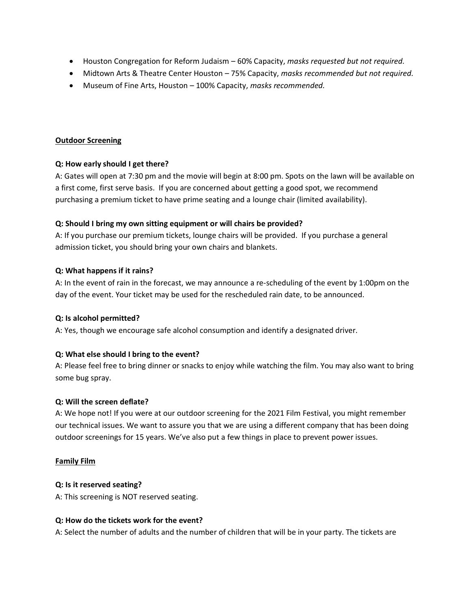- Houston Congregation for Reform Judaism 60% Capacity, *masks requested but not required.*
- Midtown Arts & Theatre Center Houston 75% Capacity, *masks recommended but not required.*
- Museum of Fine Arts, Houston 100% Capacity, *masks recommended.*

#### **Outdoor Screening**

# **Q: How early should I get there?**

A: Gates will open at 7:30 pm and the movie will begin at 8:00 pm. Spots on the lawn will be available on a first come, first serve basis. If you are concerned about getting a good spot, we recommend purchasing a premium ticket to have prime seating and a lounge chair (limited availability).

# **Q: Should I bring my own sitting equipment or will chairs be provided?**

A: If you purchase our premium tickets, lounge chairs will be provided. If you purchase a general admission ticket, you should bring your own chairs and blankets.

# **Q: What happens if it rains?**

A: In the event of rain in the forecast, we may announce a re-scheduling of the event by 1:00pm on the day of the event. Your ticket may be used for the rescheduled rain date, to be announced.

# **Q: Is alcohol permitted?**

A: Yes, though we encourage safe alcohol consumption and identify a designated driver.

# **Q: What else should I bring to the event?**

A: Please feel free to bring dinner or snacks to enjoy while watching the film. You may also want to bring some bug spray.

#### **Q: Will the screen deflate?**

A: We hope not! If you were at our outdoor screening for the 2021 Film Festival, you might remember our technical issues. We want to assure you that we are using a different company that has been doing outdoor screenings for 15 years. We've also put a few things in place to prevent power issues.

#### **Family Film**

#### **Q: Is it reserved seating?**

A: This screening is NOT reserved seating.

#### **Q: How do the tickets work for the event?**

A: Select the number of adults and the number of children that will be in your party. The tickets are